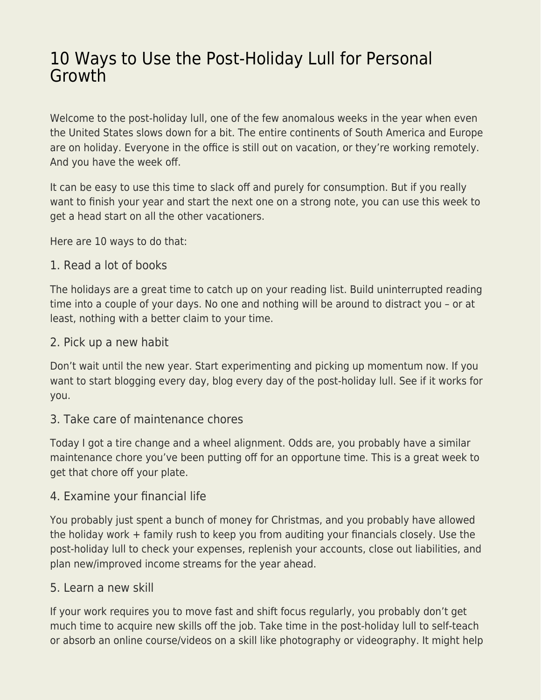# [10 Ways to Use the Post-Holiday Lull for Personal](https://everything-voluntary.com/10-ways-use-post-holiday-lull-personal-growth) **[Growth](https://everything-voluntary.com/10-ways-use-post-holiday-lull-personal-growth)**

Welcome to the post-holiday lull, one of the few anomalous weeks in the year when even the United States slows down for a bit. The entire continents of South America and Europe are on holiday. Everyone in the office is still out on vacation, or they're working remotely. And you have the week off.

It can be easy to use this time to slack off and purely for consumption. But if you really want to finish your year and start the next one on a strong note, you can use this week to get a head start on all the other vacationers.

Here are 10 ways to do that:

### 1. Read a lot of books

The holidays are a great time to catch up on your reading list. Build uninterrupted reading time into a couple of your days. No one and nothing will be around to distract you – or at least, nothing with a better claim to your time.

## 2. Pick up a new habit

Don't wait until the new year. Start experimenting and picking up momentum now. If you want to start blogging every day, blog every day of the post-holiday lull. See if it works for you.

# 3. Take care of maintenance chores

Today I got a tire change and a wheel alignment. Odds are, you probably have a similar maintenance chore you've been putting off for an opportune time. This is a great week to get that chore off your plate.

### 4. Examine your financial life

You probably just spent a bunch of money for Christmas, and you probably have allowed the holiday work + family rush to keep you from auditing your financials closely. Use the post-holiday lull to check your expenses, replenish your accounts, close out liabilities, and plan new/improved income streams for the year ahead.

# 5. Learn a new skill

If your work requires you to move fast and shift focus regularly, you probably don't get much time to acquire new skills off the job. Take time in the post-holiday lull to self-teach or absorb an online course/videos on a skill like photography or videography. It might help